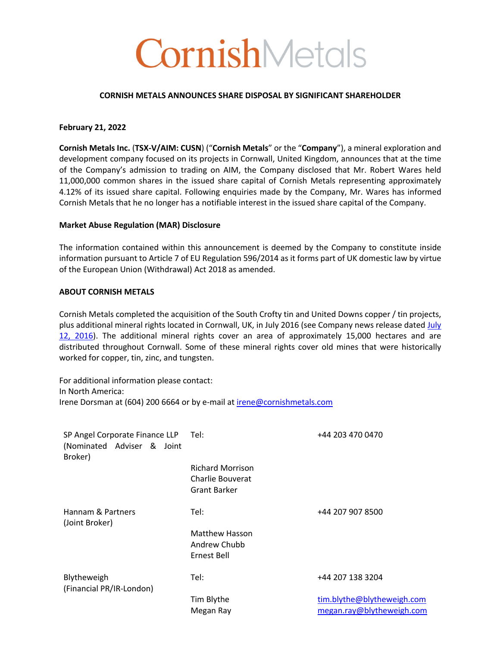# CornishMetals

#### **CORNISH METALS ANNOUNCES SHARE DISPOSAL BY SIGNIFICANT SHAREHOLDER**

# **February 21, 2022**

**Cornish Metals Inc.** (**TSX-V/AIM: CUSN**) ("**Cornish Metals**" or the "**Company**"), a mineral exploration and development company focused on its projects in Cornwall, United Kingdom, announces that at the time of the Company's admission to trading on AIM, the Company disclosed that Mr. Robert Wares held 11,000,000 common shares in the issued share capital of Cornish Metals representing approximately 4.12% of its issued share capital. Following enquiries made by the Company, Mr. Wares has informed Cornish Metals that he no longer has a notifiable interest in the issued share capital of the Company.

# **Market Abuse Regulation (MAR) Disclosure**

The information contained within this announcement is deemed by the Company to constitute inside information pursuant to Article 7 of EU Regulation 596/2014 as it forms part of UK domestic law by virtue of the European Union (Withdrawal) Act 2018 as amended.

# **ABOUT CORNISH METALS**

Cornish Metals completed the acquisition of the South Crofty tin and United Downs copper / tin projects, plus additional mineral rights located in Cornwall, UK, in July 2016 (see Company news release dated July 12, 2016). The additional mineral rights cover an area of approximately 15,000 hectares and are distributed throughout Cornwall. Some of these mineral rights cover old mines that were historically worked for copper, tin, zinc, and tungsten.

For additional information please contact: In North America: Irene Dorsman at (604) 200 6664 or by e-mail at irene@cornishmetals.com

| SP Angel Corporate Finance LLP Tel:<br>(Nominated Adviser & Joint<br>Broker) |                                                                    | +44 203 470 0470                                        |
|------------------------------------------------------------------------------|--------------------------------------------------------------------|---------------------------------------------------------|
|                                                                              | <b>Richard Morrison</b><br>Charlie Bouverat<br><b>Grant Barker</b> |                                                         |
| Hannam & Partners<br>(Joint Broker)                                          | Tel:                                                               | +44 207 907 8500                                        |
|                                                                              | <b>Matthew Hasson</b><br>Andrew Chubb<br>Ernest Bell               |                                                         |
| Blytheweigh<br>(Financial PR/IR-London)                                      | Tel:                                                               | +44 207 138 3204                                        |
|                                                                              | Tim Blythe<br>Megan Ray                                            | tim.blythe@blytheweigh.com<br>megan.ray@blytheweigh.com |